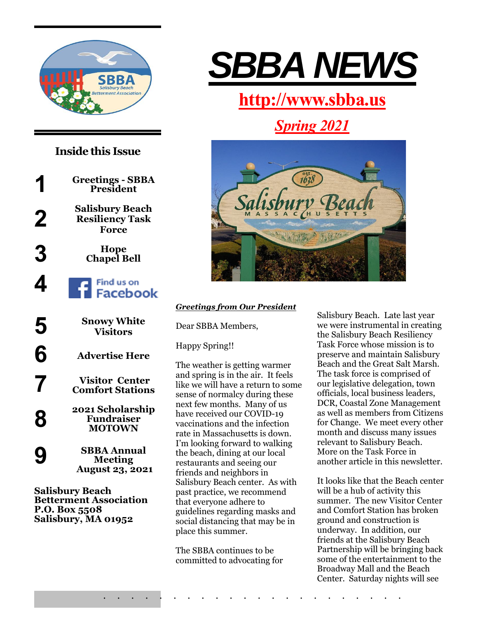

## **Inside this Issue**

**1 Greetings - SBBA President Salisbury Beach 2 Resiliency Task Force 3 Hope Chapel Bell** Find us on **4 Facebook Snowy White 5 Visitors 6 Advertise Here Visitor Center 7 Comfort Stations 2021 Scholarship 8 Fundraiser MOTOWN SBBA Annual 9**

**Meeting August 23, 2021**

**Salisbury Beach Betterment Association P.O. Box 5508 Salisbury, MA 01952**



# **[http://www.sbba.us](http://www.sbba.us/)**

*Spring 2021*



#### *Greetings from Our President*

Dear SBBA Members,

Happy Spring!!

The weather is getting warmer and spring is in the air. It feels like we will have a return to some sense of normalcy during these next few months. Many of us have received our COVID-19 vaccinations and the infection rate in Massachusetts is down. I'm looking forward to walking the beach, dining at our local restaurants and seeing our friends and neighbors in Salisbury Beach center. As with past practice, we recommend that everyone adhere to guidelines regarding masks and social distancing that may be in place this summer.

The SBBA continues to be committed to advocating for

. . . . . . . . . . . . . . . . . . . . . .

Salisbury Beach. Late last year we were instrumental in creating the Salisbury Beach Resiliency Task Force whose mission is to preserve and maintain Salisbury Beach and the Great Salt Marsh. The task force is comprised of our legislative delegation, town officials, local business leaders, DCR, Coastal Zone Management as well as members from Citizens for Change. We meet every other month and discuss many issues relevant to Salisbury Beach. More on the Task Force in another article in this newsletter.

It looks like that the Beach center will be a hub of activity this summer. The new Visitor Center and Comfort Station has broken ground and construction is underway. In addition, our friends at the Salisbury Beach Partnership will be bringing back some of the entertainment to the Broadway Mall and the Beach Center. Saturday nights will see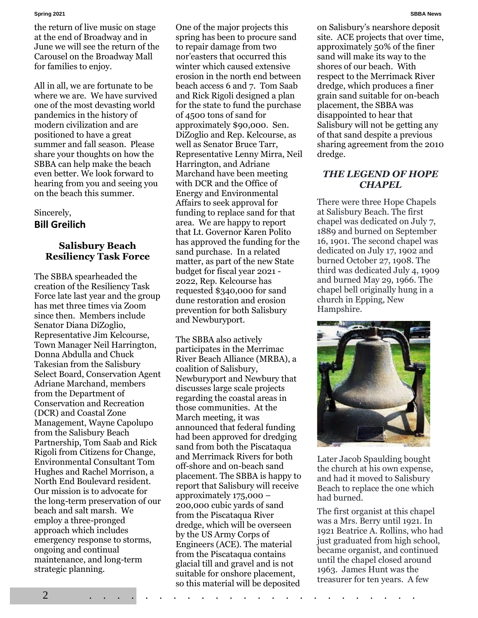the return of live music on stage at the end of Broadway and in June we will see the return of the Carousel on the Broadway Mall for families to enjoy.

All in all, we are fortunate to be where we are. We have survived one of the most devasting world pandemics in the history of modern civilization and are positioned to have a great summer and fall season. Please share your thoughts on how the SBBA can help make the beach even better. We look forward to hearing from you and seeing you on the beach this summer.

#### Sincerely, **Bill Greilich**

#### **Salisbury Beach Resiliency Task Force**

The SBBA spearheaded the creation of the Resiliency Task Force late last year and the group has met three times via Zoom since then. Members include Senator Diana DiZoglio, Representative Jim Kelcourse, Town Manager Neil Harrington, Donna Abdulla and Chuck Takesian from the Salisbury Select Board, Conservation Agent Adriane Marchand, members from the Department of Conservation and Recreation (DCR) and Coastal Zone Management, Wayne Capolupo from the Salisbury Beach Partnership, Tom Saab and Rick Rigoli from Citizens for Change, Environmental Consultant Tom Hughes and Rachel Morrison, a North End Boulevard resident. Our mission is to advocate for the long-term preservation of our beach and salt marsh. We employ a three-pronged approach which includes emergency response to storms, ongoing and continual maintenance, and long-term strategic planning.

One of the major projects this spring has been to procure sand to repair damage from two nor'easters that occurred this winter which caused extensive erosion in the north end between beach access 6 and 7. Tom Saab and Rick Rigoli designed a plan for the state to fund the purchase of 4500 tons of sand for approximately \$90,000. Sen. DiZoglio and Rep. Kelcourse, as well as Senator Bruce Tarr, Representative Lenny Mirra, Neil Harrington, and Adriane Marchand have been meeting with DCR and the Office of Energy and Environmental Affairs to seek approval for funding to replace sand for that area. We are happy to report that Lt. Governor Karen Polito has approved the funding for the sand purchase. In a related matter, as part of the new State budget for fiscal year 2021 - 2022, Rep. Kelcourse has requested \$340,000 for sand dune restoration and erosion prevention for both Salisbury and Newburyport.

The SBBA also actively participates in the Merrimac River Beach Alliance (MRBA), a coalition of Salisbury, Newburyport and Newbury that discusses large scale projects regarding the coastal areas in those communities. At the March meeting, it was announced that federal funding had been approved for dredging sand from both the Piscataqua and Merrimack Rivers for both off-shore and on-beach sand placement. The SBBA is happy to report that Salisbury will receive approximately  $175,000 -$ 200,000 cubic yards of sand from the Piscataqua River dredge, which will be overseen by the US Army Corps of Engineers (ACE). The material from the Piscataqua contains glacial till and gravel and is not suitable for onshore placement, so this material will be deposited

on Salisbury's nearshore deposit site. ACE projects that over time, approximately 50% of the finer sand will make its way to the shores of our beach. With respect to the Merrimack River dredge, which produces a finer grain sand suitable for on-beach placement, the SBBA was disappointed to hear that Salisbury will not be getting any of that sand despite a previous sharing agreement from the 2010 dredge.

#### *THE LEGEND OF HOPE CHAPEL*

There were three Hope Chapels at Salisbury Beach. The first chapel was dedicated on July 7, 1889 and burned on September 16, 1901. The second chapel was dedicated on July 17, 1902 and burned October 27, 1908. The third was dedicated July 4, 1909 and burned May 29, 1966. The chapel bell originally hung in a church in Epping, New Hampshire.



Later Jacob Spaulding bought the church at his own expense, and had it moved to Salisbury Beach to replace the one which had burned.

The first organist at this chapel was a Mrs. Berry until 1921. In 1921 Beatrice A. Rollins, who had just graduated from high school, became organist, and continued until the chapel closed around 1963. James Hunt was the treasurer for ten years. A few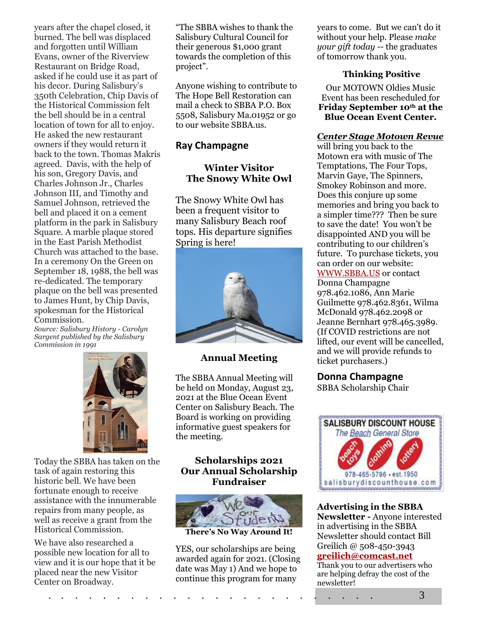years after the chapel closed, it burned. The bell was displaced and forgotten until William Evans, owner of the Riverview Restaurant on Bridge Road, asked if he could use it as part of his decor. During Salisbury's 350th Celebration, Chip Davis of the Historical Commission felt the bell should be in a central location of town for all to enjoy. He asked the new restaurant owners if they would return it back to the town. Thomas Makris agreed. Davis, with the help of his son, Gregory Davis, and Charles Johnson Jr., Charles Johnson III, and Timothy and Samuel Johnson, retrieved the bell and placed it on a cement platform in the park in Salisbury Square. A marble plaque stored in the East Parish Methodist Church was attached to the base. In a ceremony On the Green on September 18, 1988, the bell was re-dedicated. The temporary plaque on the bell was presented to James Hunt, by Chip Davis, spokesman for the Historical Commission.

*Source: Salisbury History - Carolyn Sargent published by the Salisbury Commission in 1991*



Today the SBBA has taken on the task of again restoring this historic bell. We have been fortunate enough to receive assistance with the innumerable repairs from many people, as well as receive a grant from the Historical Commission.

We have also researched a possible new location for all to view and it is our hope that it be placed near the new Visitor Center on Broadway.

"The SBBA wishes to thank the Salisbury Cultural Council for their generous \$1,000 grant towards the completion of this project".

Anyone wishing to contribute to The Hope Bell Restoration can mail a check to SBBA P.O. Box 5508, Salisbury Ma.01952 or go to our website SBBA.us.

#### **Ray Champagne**

### **Winter Visitor The Snowy White Owl**

The Snowy White Owl has been a frequent visitor to many Salisbury Beach roof tops. His departure signifies Spring is here!



#### **Annual Meeting**

The SBBA Annual Meeting will be held on Monday, August 23, 2021 at the Blue Ocean Event Center on Salisbury Beach. The Board is working on providing informative guest speakers for the meeting.

#### **Scholarships 2021 Our Annual Scholarship Fundraiser**



**There's No Way Around It!**

YES, our scholarships are being awarded again for 2021. (Closing date was May 1) And we hope to continue this program for many

years to come. But we can't do it without your help. Please *[make](https://scholarshipamerica.org/donate.php)  [your gift today](https://scholarshipamerica.org/donate.php)* -- the graduates of tomorrow thank you.

#### **Thinking Positive**

Our MOTOWN Oldies Music Event has been rescheduled for **Friday September 10th at the Blue Ocean Event Center.**

#### *Center Stage Motown Revue*

will bring you back to the Motown era with music of The Temptations, The Four Tops, Marvin Gaye, The Spinners, Smokey Robinson and more. Does this conjure up some memories and bring you back to a simpler time??? Then be sure to save the date! You won't be disappointed AND you will be contributing to our children's future. To purchase tickets, you can order on our website: [WWW.SBBA.US](http://www.sbba.us/) or contact Donna Champagne 978.462.1086, Ann Marie Guilmette 978.462.8361, Wilma McDonald 978.462.2098 or Jeanne Bernhart 978.465.3989. (If COVID restrictions are not lifted, our event will be cancelled, and we will provide refunds to ticket purchasers.)

#### **Donna Champagne**

SBBA Scholarship Chair



**Advertising in the SBBA Newsletter -** Anyone interested in advertising in the SBBA Newsletter should contact Bill Greilich @ 508-450-3943 **[greilich@comcast.net](mailto:greilich@comcast.net)** Thank you to our advertisers who

are helping defray the cost of the newsletter!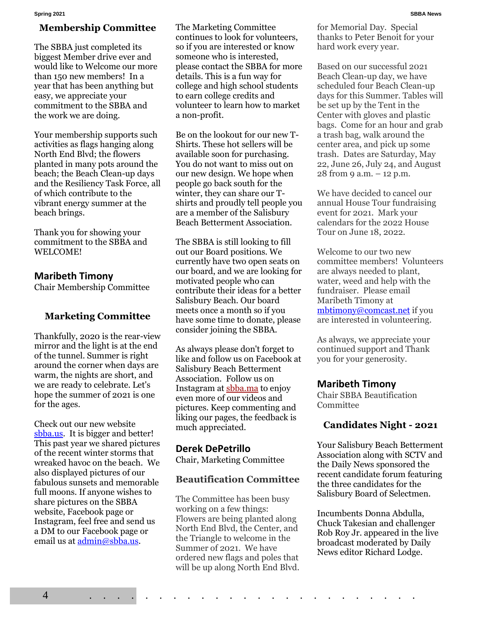#### **Membership Committee**

The SBBA just completed its biggest Member drive ever and would like to Welcome our more than 150 new members! In a year that has been anything but easy, we appreciate your commitment to the SBBA and the work we are doing.

Your membership supports such activities as flags hanging along North End Blvd; the flowers planted in many pots around the beach; the Beach Clean-up days and the Resiliency Task Force, all of which contribute to the vibrant energy summer at the beach brings.

Thank you for showing your commitment to the SBBA and WELCOME!

#### **Maribeth Timony**

Chair Membership Committee

#### **Marketing Committee**

Thankfully, 2020 is the rear-view mirror and the light is at the end of the tunnel. Summer is right around the corner when days are warm, the nights are short, and we are ready to celebrate. Let's hope the summer of 2021 is one for the ages.

Check out our new website [sbba.us.](https://www.sbba.us/) It is bigger and better! This past year we shared pictures of the recent winter storms that wreaked havoc on the beach. We also displayed pictures of our fabulous sunsets and memorable full moons. If anyone wishes to share pictures on the SBBA website, Facebook page or Instagram, feel free and send us a DM to our Facebook page or email us at [admin@sbba.us.](mailto:admin@sbba.us)

The Marketing Committee continues to look for volunteers, so if you are interested or know someone who is interested, please contact the SBBA for more details. This is a fun way for college and high school students to earn college credits and volunteer to learn how to market a non-profit.

Be on the lookout for our new T-Shirts. These hot sellers will be available soon for purchasing. You do not want to miss out on our new design. We hope when people go back south for the winter, they can share our Tshirts and proudly tell people you are a member of the Salisbury Beach Betterment Association.

The SBBA is still looking to fill out our Board positions. We currently have two open seats on our board, and we are looking for motivated people who can contribute their ideas for a better Salisbury Beach. Our board meets once a month so if you have some time to donate, please consider joining the SBBA.

As always please don't forget to like and follow us on Facebook at Salisbury Beach Betterment Association. Follow us on Instagram at [sbba.ma](http://sbba.ma/) to enjoy even more of our videos and pictures. Keep commenting and liking our pages, the feedback is much appreciated.

#### **Derek DePetrillo**

Chair, Marketing Committee

#### **Beautification Committee**

The Committee has been busy working on a few things: Flowers are being planted along North End Blvd, the Center, and the Triangle to welcome in the Summer of 2021. We have ordered new flags and poles that will be up along North End Blvd.

for Memorial Day. Special thanks to Peter Benoit for your hard work every year.

Based on our successful 2021 Beach Clean-up day, we have scheduled four Beach Clean-up days for this Summer. Tables will be set up by the Tent in the Center with gloves and plastic bags. Come for an hour and grab a trash bag, walk around the center area, and pick up some trash. Dates are Saturday, May 22, June 26, July 24, and August 28 from 9 a.m. – 12 p.m.

We have decided to cancel our annual House Tour fundraising event for 2021. Mark your calendars for the 2022 House Tour on June 18, 2022.

Welcome to our two new committee members! Volunteers are always needed to plant, water, weed and help with the fundraiser. Please email Maribeth Timony at [mbtimony@comcast.net](mailto:mbtimony@comcast.net) if you are interested in volunteering.

As always, we appreciate your continued support and Thank you for your generosity.

#### **Maribeth Timony**

Chair SBBA Beautification Committee

#### **Candidates Night - 2021**

Your Salisbury Beach Betterment Association along with SCTV and the Daily News sponsored the recent candidate forum featuring the three candidates for the Salisbury Board of Selectmen.

Incumbents Donna Abdulla, Chuck Takesian and challenger Rob Roy Jr. appeared in the live broadcast moderated by Daily News editor Richard Lodge.

4 . . . . . . . . . . . . . . . . . . . . . . . .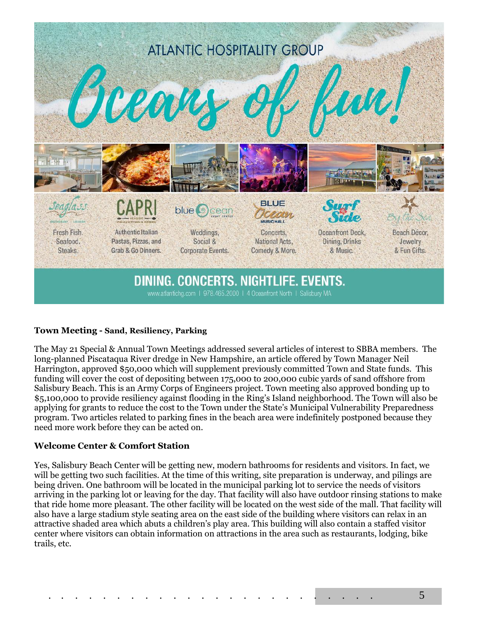

#### **Town Meeting - Sand, Resiliency, Parking**

The May 21 Special & Annual Town Meetings addressed several articles of interest to SBBA members. The long-planned Piscataqua River dredge in New Hampshire, an article offered by Town Manager Neil Harrington, approved \$50,000 which will supplement previously committed Town and State funds. This funding will cover the cost of depositing between 175,000 to 200,000 cubic yards of sand offshore from Salisbury Beach. This is an Army Corps of Engineers project. Town meeting also approved bonding up to \$5,100,000 to provide resiliency against flooding in the Ring's Island neighborhood. The Town will also be applying for grants to reduce the cost to the Town under the State's Municipal Vulnerability Preparedness program. Two articles related to parking fines in the beach area were indefinitely postponed because they need more work before they can be acted on.

#### **Welcome Center & Comfort Station**

Yes, Salisbury Beach Center will be getting new, modern bathrooms for residents and visitors. In fact, we will be getting two such facilities. At the time of this writing, site preparation is underway, and pilings are being driven. One bathroom will be located in the municipal parking lot to service the needs of visitors arriving in the parking lot or leaving for the day. That facility will also have outdoor rinsing stations to make that ride home more pleasant. The other facility will be located on the west side of the mall. That facility will also have a large stadium style seating area on the east side of the building where visitors can relax in an attractive shaded area which abuts a children's play area. This building will also contain a staffed visitor center where visitors can obtain information on attractions in the area such as restaurants, lodging, bike trails, etc.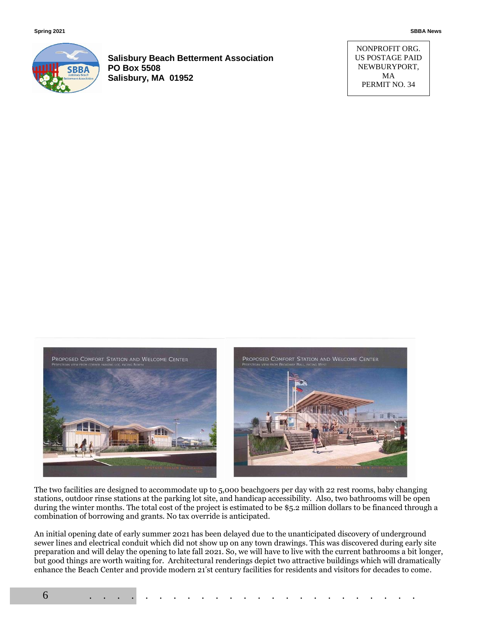

**Salisbury Beach Betterment Association PO Box 5508 Salisbury, MA 01952**

NONPROFIT ORG. US POSTAGE PAID NEWBURYPORT, MA PERMIT NO. 34



The two facilities are designed to accommodate up to 5,000 beachgoers per day with 22 rest rooms, baby changing stations, outdoor rinse stations at the parking lot site, and handicap accessibility. Also, two bathrooms will be open during the winter months. The total cost of the project is estimated to be \$5.2 million dollars to be financed through a combination of borrowing and grants. No tax override is anticipated.

An initial opening date of early summer 2021 has been delayed due to the unanticipated discovery of underground sewer lines and electrical conduit which did not show up on any town drawings. This was discovered during early site preparation and will delay the opening to late fall 2021. So, we will have to live with the current bathrooms a bit longer, but good things are worth waiting for. Architectural renderings depict two attractive buildings which will dramatically enhance the Beach Center and provide modern 21'st century facilities for residents and visitors for decades to come.